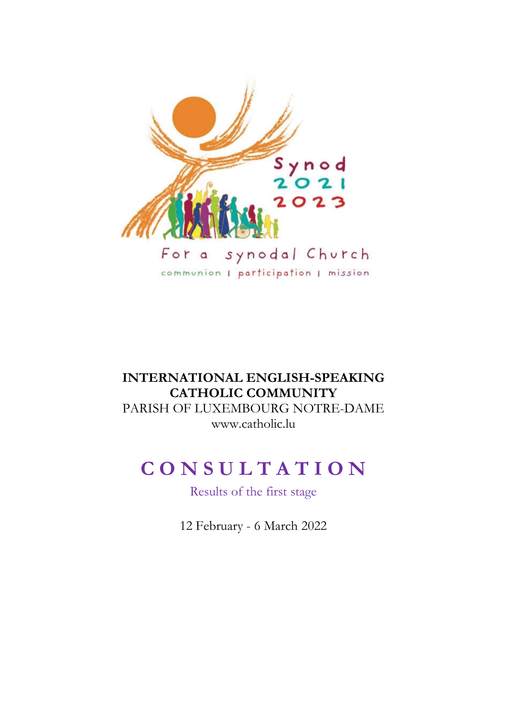

# **INTERNATIONAL ENGLISH-SPEAKING CATHOLIC COMMUNITY** PARISH OF LUXEMBOURG NOTRE-DAME www.catholic.lu

# **C O N S U L T A T I O N**

Results of the first stage

12 February - 6 March 2022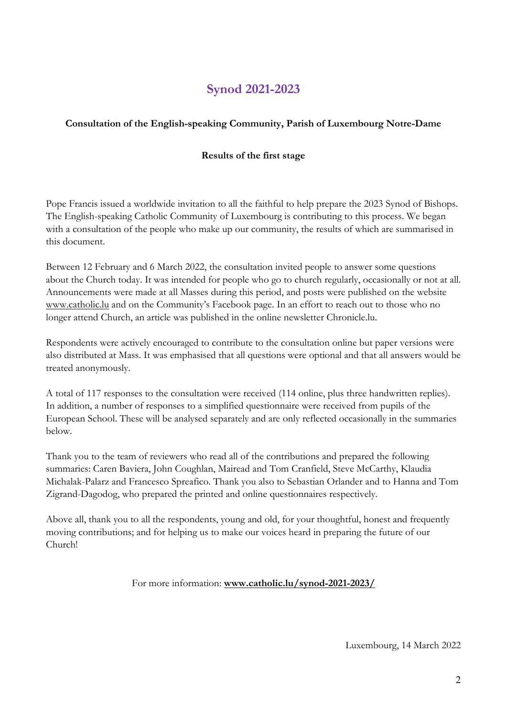# **Synod 2021-2023**

# **Consultation of the English-speaking Community, Parish of Luxembourg Notre-Dame**

# **Results of the first stage**

Pope Francis issued a worldwide invitation to all the faithful to help prepare the 2023 Synod of Bishops. The English-speaking Catholic Community of Luxembourg is contributing to this process. We began with a consultation of the people who make up our community, the results of which are summarised in this document.

Between 12 February and 6 March 2022, the consultation invited people to answer some questions about the Church today. It was intended for people who go to church regularly, occasionally or not at all. Announcements were made at all Masses during this period, and posts were published on the website www.catholic.lu and on the Community's Facebook page. In an effort to reach out to those who no longer attend Church, an article was published in the online newsletter Chronicle.lu.

Respondents were actively encouraged to contribute to the consultation online but paper versions were also distributed at Mass. It was emphasised that all questions were optional and that all answers would be treated anonymously.

A total of 117 responses to the consultation were received (114 online, plus three handwritten replies). In addition, a number of responses to a simplified questionnaire were received from pupils of the European School. These will be analysed separately and are only reflected occasionally in the summaries below.

Thank you to the team of reviewers who read all of the contributions and prepared the following summaries: Caren Baviera, John Coughlan, Mairead and Tom Cranfield, Steve McCarthy, Klaudia Michalak-Palarz and Francesco Spreafico. Thank you also to Sebastian Orlander and to Hanna and Tom Zigrand-Dagodog, who prepared the printed and online questionnaires respectively.

Above all, thank you to all the respondents, young and old, for your thoughtful, honest and frequently moving contributions; and for helping us to make our voices heard in preparing the future of our Church!

For more information: **www.catholic.lu/synod-2021-2023/**

Luxembourg, 14 March 2022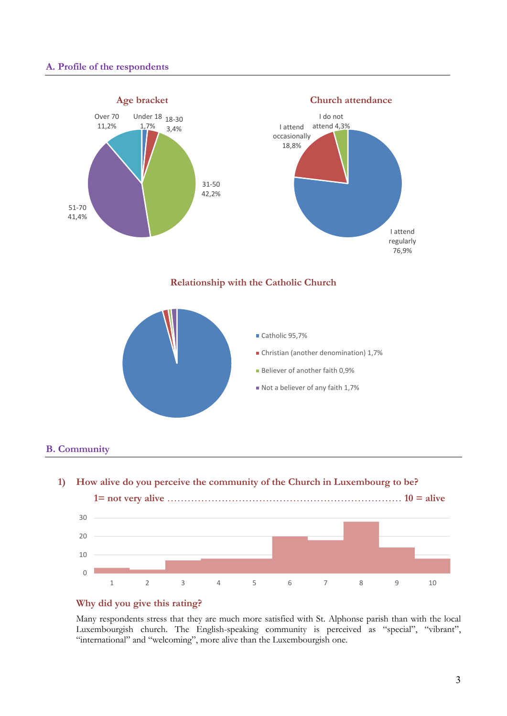#### **A. Profile of the respondents**



#### **B. Community**



## **Why did you give this rating?**

Many respondents stress that they are much more satisfied with St. Alphonse parish than with the local Luxembourgish church. The English-speaking community is perceived as "special", "vibrant", "international" and "welcoming", more alive than the Luxembourgish one.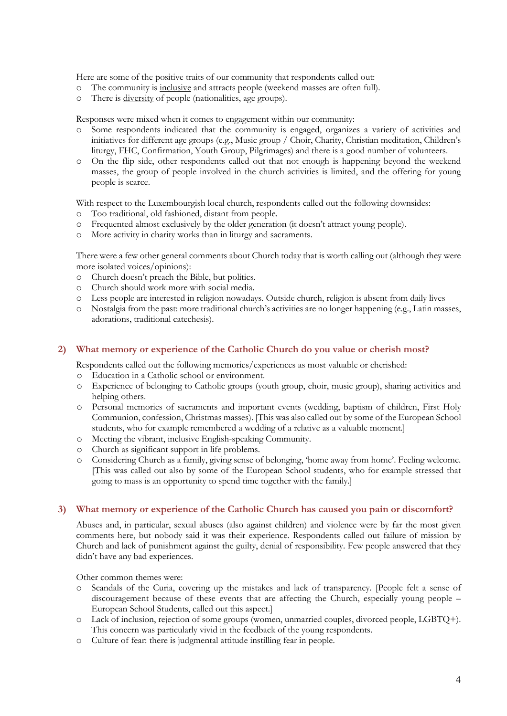Here are some of the positive traits of our community that respondents called out:

- o The community is inclusive and attracts people (weekend masses are often full).
- o There is diversity of people (nationalities, age groups).

Responses were mixed when it comes to engagement within our community:<br>  $\circ$  Some respondents indicated that the community is engaged organize

- Some respondents indicated that the community is engaged, organizes a variety of activities and initiatives for different age groups (e.g., Music group / Choir, Charity, Christian meditation, Children's liturgy, FHC, Confirmation, Youth Group, Pilgrimages) and there is a good number of volunteers.
- o On the flip side, other respondents called out that not enough is happening beyond the weekend masses, the group of people involved in the church activities is limited, and the offering for young people is scarce.

With respect to the Luxembourgish local church, respondents called out the following downsides:

- o Too traditional, old fashioned, distant from people.
- o Frequented almost exclusively by the older generation (it doesn't attract young people).
- o More activity in charity works than in liturgy and sacraments.

There were a few other general comments about Church today that is worth calling out (although they were more isolated voices/opinions):

- o Church doesn't preach the Bible, but politics.
- o Church should work more with social media.
- o Less people are interested in religion nowadays. Outside church, religion is absent from daily lives
- o Nostalgia from the past: more traditional church's activities are no longer happening (e.g., Latin masses, adorations, traditional catechesis).

#### **2) What memory or experience of the Catholic Church do you value or cherish most?**

Respondents called out the following memories/experiences as most valuable or cherished:

- o Education in a Catholic school or environment.
- o Experience of belonging to Catholic groups (youth group, choir, music group), sharing activities and helping others.
- o Personal memories of sacraments and important events (wedding, baptism of children, First Holy Communion, confession, Christmas masses). [This was also called out by some of the European School students, who for example remembered a wedding of a relative as a valuable moment.]
- o Meeting the vibrant, inclusive English-speaking Community.
- o Church as significant support in life problems.
- o Considering Church as a family, giving sense of belonging, 'home away from home'. Feeling welcome. [This was called out also by some of the European School students, who for example stressed that going to mass is an opportunity to spend time together with the family.]

#### **3) What memory or experience of the Catholic Church has caused you pain or discomfort?**

Abuses and, in particular, sexual abuses (also against children) and violence were by far the most given comments here, but nobody said it was their experience. Respondents called out failure of mission by Church and lack of punishment against the guilty, denial of responsibility. Few people answered that they didn't have any bad experiences.

Other common themes were:

- o Scandals of the Curia, covering up the mistakes and lack of transparency. [People felt a sense of discouragement because of these events that are affecting the Church, especially young people – European School Students, called out this aspect.]
- o Lack of inclusion, rejection of some groups (women, unmarried couples, divorced people, LGBTQ+). This concern was particularly vivid in the feedback of the young respondents.
- o Culture of fear: there is judgmental attitude instilling fear in people.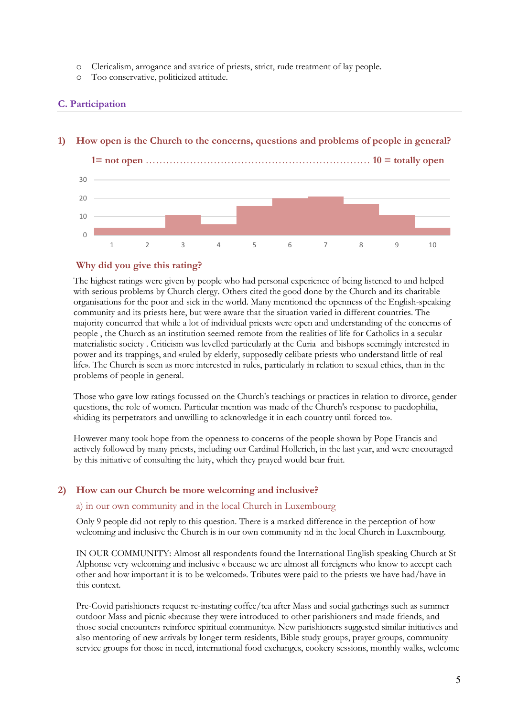- o Clericalism, arrogance and avarice of priests, strict, rude treatment of lay people.
- o Too conservative, politicized attitude.

# **C. Participation**

# **1) How open is the Church to the concerns, questions and problems of people in general?**



#### **Why did you give this rating?**

The highest ratings were given by people who had personal experience of being listened to and helped with serious problems by Church clergy. Others cited the good done by the Church and its charitable organisations for the poor and sick in the world. Many mentioned the openness of the English-speaking community and its priests here, but were aware that the situation varied in different countries. The majority concurred that while a lot of individual priests were open and understanding of the concerns of people , the Church as an institution seemed remote from the realities of life for Catholics in a secular materialistic society . Criticism was levelled particularly at the Curia and bishops seemingly interested in power and its trappings, and «ruled by elderly, supposedly celibate priests who understand little of real life». The Church is seen as more interested in rules, particularly in relation to sexual ethics, than in the problems of people in general.

Those who gave low ratings focussed on the Church's teachings or practices in relation to divorce, gender questions, the role of women. Particular mention was made of the Church's response to paedophilia, «hiding its perpetrators and unwilling to acknowledge it in each country until forced to».

However many took hope from the openness to concerns of the people shown by Pope Francis and actively followed by many priests, including our Cardinal Hollerich, in the last year, and were encouraged by this initiative of consulting the laity, which they prayed would bear fruit.

# **2) How can our Church be more welcoming and inclusive?**

#### a) in our own community and in the local Church in Luxembourg

Only 9 people did not reply to this question. There is a marked difference in the perception of how welcoming and inclusive the Church is in our own community nd in the local Church in Luxembourg.

IN OUR COMMUNITY: Almost all respondents found the International English speaking Church at St Alphonse very welcoming and inclusive « because we are almost all foreigners who know to accept each other and how important it is to be welcomed». Tributes were paid to the priests we have had/have in this context.

Pre-Covid parishioners request re-instating coffee/tea after Mass and social gatherings such as summer outdoor Mass and picnic «because they were introduced to other parishioners and made friends, and those social encounters reinforce spiritual community». New parishioners suggested similar initiatives and also mentoring of new arrivals by longer term residents, Bible study groups, prayer groups, community service groups for those in need, international food exchanges, cookery sessions, monthly walks, welcome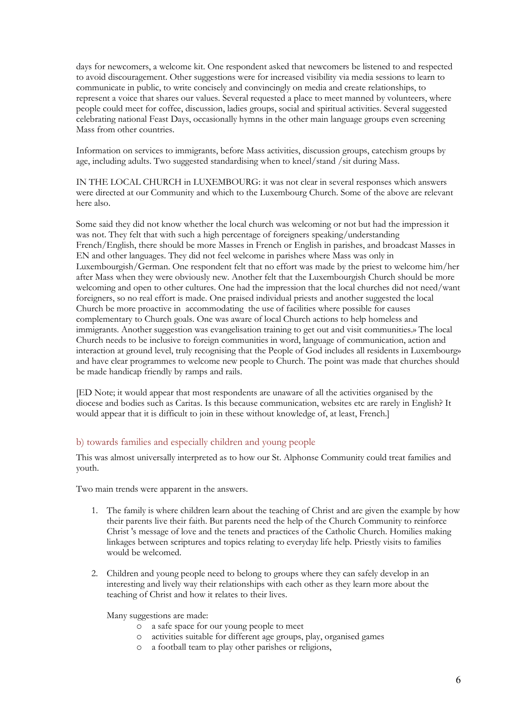days for newcomers, a welcome kit. One respondent asked that newcomers be listened to and respected to avoid discouragement. Other suggestions were for increased visibility via media sessions to learn to communicate in public, to write concisely and convincingly on media and create relationships, to represent a voice that shares our values. Several requested a place to meet manned by volunteers, where people could meet for coffee, discussion, ladies groups, social and spiritual activities. Several suggested celebrating national Feast Days, occasionally hymns in the other main language groups even screening Mass from other countries.

Information on services to immigrants, before Mass activities, discussion groups, catechism groups by age, including adults. Two suggested standardising when to kneel/stand /sit during Mass.

IN THE LOCAL CHURCH in LUXEMBOURG: it was not clear in several responses which answers were directed at our Community and which to the Luxembourg Church. Some of the above are relevant here also.

Some said they did not know whether the local church was welcoming or not but had the impression it was not. They felt that with such a high percentage of foreigners speaking/understanding French/English, there should be more Masses in French or English in parishes, and broadcast Masses in EN and other languages. They did not feel welcome in parishes where Mass was only in Luxembourgish/German. One respondent felt that no effort was made by the priest to welcome him/her after Mass when they were obviously new. Another felt that the Luxembourgish Church should be more welcoming and open to other cultures. One had the impression that the local churches did not need/want foreigners, so no real effort is made. One praised individual priests and another suggested the local Church be more proactive in accommodating the use of facilities where possible for causes complementary to Church goals. One was aware of local Church actions to help homeless and immigrants. Another suggestion was evangelisation training to get out and visit communities.» The local Church needs to be inclusive to foreign communities in word, language of communication, action and interaction at ground level, truly recognising that the People of God includes all residents in Luxembourg» and have clear programmes to welcome new people to Church. The point was made that churches should be made handicap friendly by ramps and rails.

[ED Note; it would appear that most respondents are unaware of all the activities organised by the diocese and bodies such as Caritas. Is this because communication, websites etc are rarely in English? It would appear that it is difficult to join in these without knowledge of, at least, French.]

#### b) towards families and especially children and young people

This was almost universally interpreted as to how our St. Alphonse Community could treat families and youth.

Two main trends were apparent in the answers.

- 1. The family is where children learn about the teaching of Christ and are given the example by how their parents live their faith. But parents need the help of the Church Community to reinforce Christ 's message of love and the tenets and practices of the Catholic Church. Homilies making linkages between scriptures and topics relating to everyday life help. Priestly visits to families would be welcomed.
- 2. Children and young people need to belong to groups where they can safely develop in an interesting and lively way their relationships with each other as they learn more about the teaching of Christ and how it relates to their lives.

Many suggestions are made:

- o a safe space for our young people to meet
- o activities suitable for different age groups, play, organised games
- a football team to play other parishes or religions,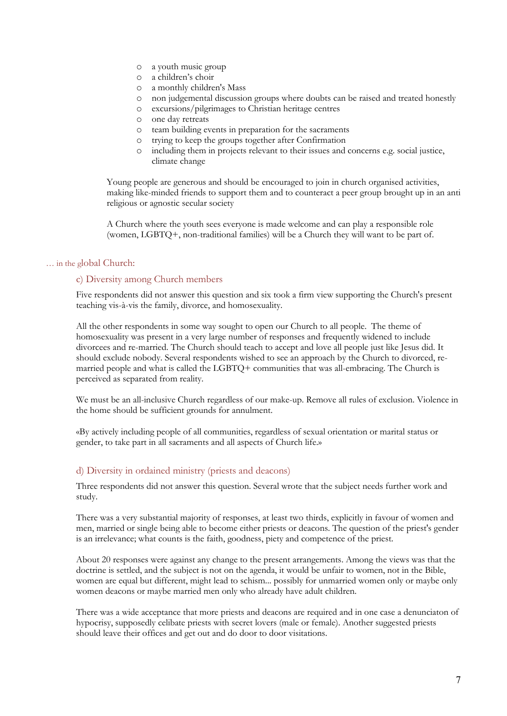- o a youth music group
- o a children's choir
- o a monthly children's Mass
- o non judgemental discussion groups where doubts can be raised and treated honestly
- o excursions/pilgrimages to Christian heritage centres
- o one day retreats
- o team building events in preparation for the sacraments
- o trying to keep the groups together after Confirmation
- o including them in projects relevant to their issues and concerns e.g. social justice, climate change

Young people are generous and should be encouraged to join in church organised activities, making like-minded friends to support them and to counteract a peer group brought up in an anti religious or agnostic secular society

A Church where the youth sees everyone is made welcome and can play a responsible role (women, LGBTQ+, non-traditional families) will be a Church they will want to be part of.

#### … in the global Church:

#### c) Diversity among Church members

Five respondents did not answer this question and six took a firm view supporting the Church's present teaching vis-à-vis the family, divorce, and homosexuality.

All the other respondents in some way sought to open our Church to all people. The theme of homosexuality was present in a very large number of responses and frequently widened to include divorcees and re-married. The Church should teach to accept and love all people just like Jesus did. It should exclude nobody. Several respondents wished to see an approach by the Church to divorced, remarried people and what is called the LGBTQ+ communities that was all-embracing. The Church is perceived as separated from reality.

We must be an all-inclusive Church regardless of our make-up. Remove all rules of exclusion. Violence in the home should be sufficient grounds for annulment.

«By actively including people of all communities, regardless of sexual orientation or marital status or gender, to take part in all sacraments and all aspects of Church life.»

#### d) Diversity in ordained ministry (priests and deacons)

Three respondents did not answer this question. Several wrote that the subject needs further work and study.

There was a very substantial majority of responses, at least two thirds, explicitly in favour of women and men, married or single being able to become either priests or deacons. The question of the priest's gender is an irrelevance; what counts is the faith, goodness, piety and competence of the priest.

About 20 responses were against any change to the present arrangements. Among the views was that the doctrine is settled, and the subject is not on the agenda, it would be unfair to women, not in the Bible, women are equal but different, might lead to schism... possibly for unmarried women only or maybe only women deacons or maybe married men only who already have adult children.

There was a wide acceptance that more priests and deacons are required and in one case a denunciaton of hypocrisy, supposedly celibate priests with secret lovers (male or female). Another suggested priests should leave their offices and get out and do door to door visitations.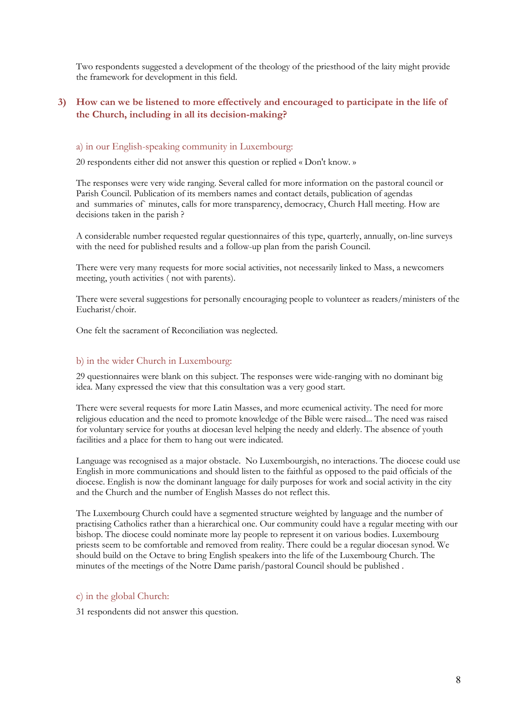Two respondents suggested a development of the theology of the priesthood of the laity might provide the framework for development in this field.

# **3) How can we be listened to more effectively and encouraged to participate in the life of the Church, including in all its decision-making?**

#### a) in our English-speaking community in Luxembourg:

20 respondents either did not answer this question or replied « Don't know. »

The responses were very wide ranging. Several called for more information on the pastoral council or Parish Council. Publication of its members names and contact details, publication of agendas and summaries of` minutes, calls for more transparency, democracy, Church Hall meeting. How are decisions taken in the parish ?

A considerable number requested regular questionnaires of this type, quarterly, annually, on-line surveys with the need for published results and a follow-up plan from the parish Council.

There were very many requests for more social activities, not necessarily linked to Mass, a newcomers meeting, youth activities ( not with parents).

There were several suggestions for personally encouraging people to volunteer as readers/ministers of the Eucharist/choir.

One felt the sacrament of Reconciliation was neglected.

## b) in the wider Church in Luxembourg:

29 questionnaires were blank on this subject. The responses were wide-ranging with no dominant big idea. Many expressed the view that this consultation was a very good start.

There were several requests for more Latin Masses, and more ecumenical activity. The need for more religious education and the need to promote knowledge of the Bible were raised... The need was raised for voluntary service for youths at diocesan level helping the needy and elderly. The absence of youth facilities and a place for them to hang out were indicated.

Language was recognised as a major obstacle. No Luxembourgish, no interactions. The diocese could use English in more communications and should listen to the faithful as opposed to the paid officials of the diocese. English is now the dominant language for daily purposes for work and social activity in the city and the Church and the number of English Masses do not reflect this.

The Luxembourg Church could have a segmented structure weighted by language and the number of practising Catholics rather than a hierarchical one. Our community could have a regular meeting with our bishop. The diocese could nominate more lay people to represent it on various bodies. Luxembourg priests seem to be comfortable and removed from reality. There could be a regular diocesan synod. We should build on the Octave to bring English speakers into the life of the Luxembourg Church. The minutes of the meetings of the Notre Dame parish/pastoral Council should be published .

#### c) in the global Church:

31 respondents did not answer this question.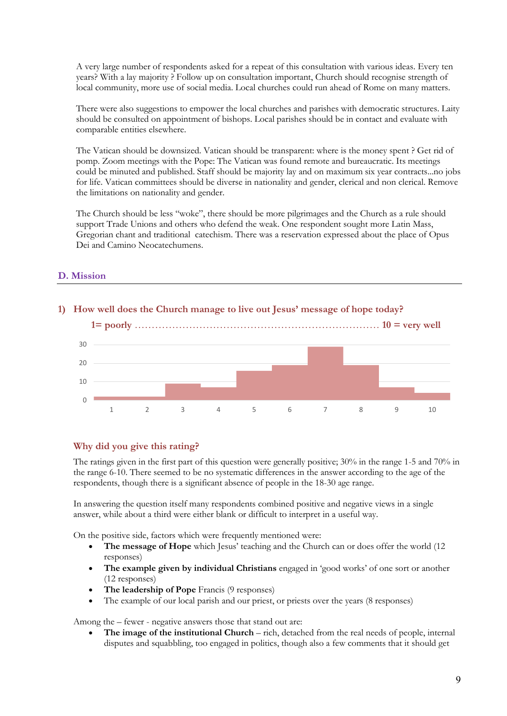A very large number of respondents asked for a repeat of this consultation with various ideas. Every ten years? With a lay majority ? Follow up on consultation important, Church should recognise strength of local community, more use of social media. Local churches could run ahead of Rome on many matters.

There were also suggestions to empower the local churches and parishes with democratic structures. Laity should be consulted on appointment of bishops. Local parishes should be in contact and evaluate with comparable entities elsewhere.

The Vatican should be downsized. Vatican should be transparent: where is the money spent ? Get rid of pomp. Zoom meetings with the Pope: The Vatican was found remote and bureaucratic. Its meetings could be minuted and published. Staff should be majority lay and on maximum six year contracts...no jobs for life. Vatican committees should be diverse in nationality and gender, clerical and non clerical. Remove the limitations on nationality and gender.

The Church should be less "woke", there should be more pilgrimages and the Church as a rule should support Trade Unions and others who defend the weak. One respondent sought more Latin Mass, Gregorian chant and traditional catechism. There was a reservation expressed about the place of Opus Dei and Camino Neocatechumens.

# **D. Mission**



# **1) How well does the Church manage to live out Jesus' message of hope today?**

# **Why did you give this rating?**

The ratings given in the first part of this question were generally positive; 30% in the range 1-5 and 70% in the range 6-10. There seemed to be no systematic differences in the answer according to the age of the respondents, though there is a significant absence of people in the 18-30 age range.

In answering the question itself many respondents combined positive and negative views in a single answer, while about a third were either blank or difficult to interpret in a useful way.

On the positive side, factors which were frequently mentioned were:

- **The message of Hope** which Jesus' teaching and the Church can or does offer the world (12 responses)
- **The example given by individual Christians** engaged in 'good works' of one sort or another (12 responses)
- **The leadership of Pope** Francis (9 responses)
- The example of our local parish and our priest, or priests over the years (8 responses)

Among the – fewer - negative answers those that stand out are:

 **The image of the institutional Church** – rich, detached from the real needs of people, internal disputes and squabbling, too engaged in politics, though also a few comments that it should get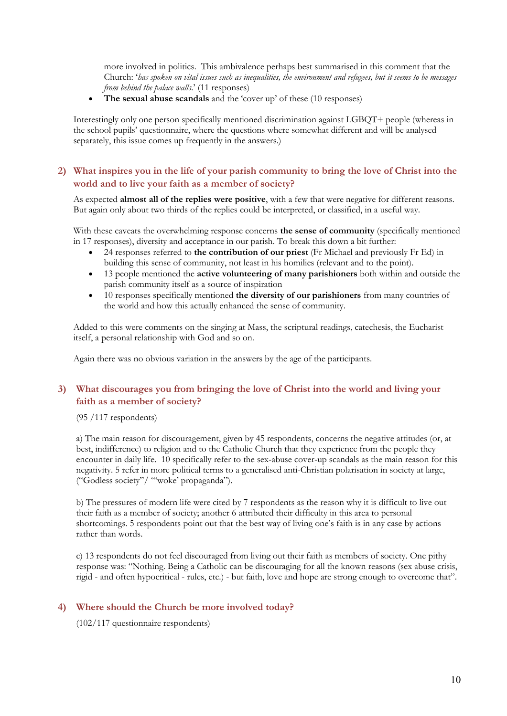more involved in politics. This ambivalence perhaps best summarised in this comment that the Church: '*has spoken on vital issues such as inequalities, the environment and refugees, but it seems to be messages from behind the palace walls*.' (11 responses)

**The sexual abuse scandals** and the 'cover up' of these (10 responses)

Interestingly only one person specifically mentioned discrimination against LGBQT+ people (whereas in the school pupils' questionnaire, where the questions where somewhat different and will be analysed separately, this issue comes up frequently in the answers.)

# 2) What inspires you in the life of your parish community to bring the love of Christ into the **world and to live your faith as a member of society?**

As expected **almost all of the replies were positive**, with a few that were negative for different reasons. But again only about two thirds of the replies could be interpreted, or classified, in a useful way.

With these caveats the overwhelming response concerns **the sense of community** (specifically mentioned in 17 responses), diversity and acceptance in our parish. To break this down a bit further:

- 24 responses referred to **the contribution of our priest** (Fr Michael and previously Fr Ed) in building this sense of community, not least in his homilies (relevant and to the point).
- 13 people mentioned the **active volunteering of many parishioners** both within and outside the parish community itself as a source of inspiration
- 10 responses specifically mentioned **the diversity of our parishioners** from many countries of the world and how this actually enhanced the sense of community.

Added to this were comments on the singing at Mass, the scriptural readings, catechesis, the Eucharist itself, a personal relationship with God and so on.

Again there was no obvious variation in the answers by the age of the participants.

# **3) What discourages you from bringing the love of Christ into the world and living your faith as a member of society?**

(95 /117 respondents)

a) The main reason for discouragement, given by 45 respondents, concerns the negative attitudes (or, at best, indifference) to religion and to the Catholic Church that they experience from the people they encounter in daily life. 10 specifically refer to the sex-abuse cover-up scandals as the main reason for this negativity. 5 refer in more political terms to a generalised anti-Christian polarisation in society at large, ("Godless society"/ "'woke' propaganda").

b) The pressures of modern life were cited by 7 respondents as the reason why it is difficult to live out their faith as a member of society; another 6 attributed their difficulty in this area to personal shortcomings. 5 respondents point out that the best way of living one's faith is in any case by actions rather than words.

c) 13 respondents do not feel discouraged from living out their faith as members of society. One pithy response was: "Nothing. Being a Catholic can be discouraging for all the known reasons (sex abuse crisis, rigid - and often hypocritical - rules, etc.) - but faith, love and hope are strong enough to overcome that".

#### **4) Where should the Church be more involved today?**

(102/117 questionnaire respondents)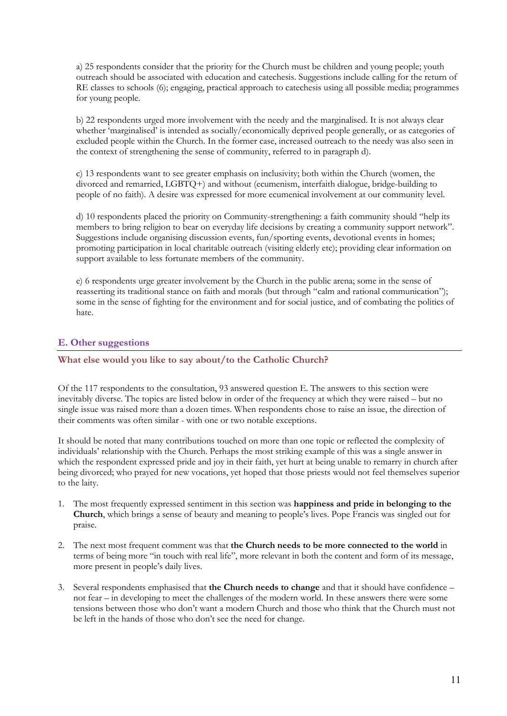a) 25 respondents consider that the priority for the Church must be children and young people; youth outreach should be associated with education and catechesis. Suggestions include calling for the return of RE classes to schools (6); engaging, practical approach to catechesis using all possible media; programmes for young people.

b) 22 respondents urged more involvement with the needy and the marginalised. It is not always clear whether 'marginalised' is intended as socially/economically deprived people generally, or as categories of excluded people within the Church. In the former case, increased outreach to the needy was also seen in the context of strengthening the sense of community, referred to in paragraph d).

c) 13 respondents want to see greater emphasis on inclusivity; both within the Church (women, the divorced and remarried, LGBTQ+) and without (ecumenism, interfaith dialogue, bridge-building to people of no faith). A desire was expressed for more ecumenical involvement at our community level.

d) 10 respondents placed the priority on Community-strengthening: a faith community should "help its members to bring religion to bear on everyday life decisions by creating a community support network". Suggestions include organising discussion events, fun/sporting events, devotional events in homes; promoting participation in local charitable outreach (visiting elderly etc); providing clear information on support available to less fortunate members of the community.

e) 6 respondents urge greater involvement by the Church in the public arena; some in the sense of reasserting its traditional stance on faith and morals (but through "calm and rational communication"); some in the sense of fighting for the environment and for social justice, and of combating the politics of hate.

# **E. Other suggestions**

## **What else would you like to say about/to the Catholic Church?**

Of the 117 respondents to the consultation, 93 answered question E. The answers to this section were inevitably diverse. The topics are listed below in order of the frequency at which they were raised – but no single issue was raised more than a dozen times. When respondents chose to raise an issue, the direction of their comments was often similar - with one or two notable exceptions.

It should be noted that many contributions touched on more than one topic or reflected the complexity of individuals' relationship with the Church. Perhaps the most striking example of this was a single answer in which the respondent expressed pride and joy in their faith, yet hurt at being unable to remarry in church after being divorced; who prayed for new vocations, yet hoped that those priests would not feel themselves superior to the laity.

- 1. The most frequently expressed sentiment in this section was **happiness and pride in belonging to the Church**, which brings a sense of beauty and meaning to people's lives. Pope Francis was singled out for praise.
- 2. The next most frequent comment was that **the Church needs to be more connected to the world** in terms of being more "in touch with real life", more relevant in both the content and form of its message, more present in people's daily lives.
- 3. Several respondents emphasised that **the Church needs to change** and that it should have confidence not fear – in developing to meet the challenges of the modern world. In these answers there were some tensions between those who don't want a modern Church and those who think that the Church must not be left in the hands of those who don't see the need for change.